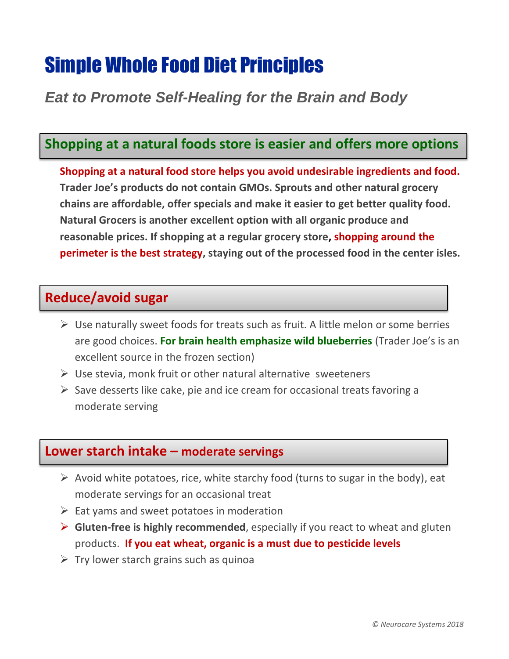# Simple Whole Food Diet Principles

# *Eat to Promote Self-Healing for the Brain and Body*

# **Shopping at a natural foods store is easier and offers more options**

**Shopping at a natural food store helps you avoid undesirable ingredients and food. Trader Joe's products do not contain GMOs. Sprouts and other natural grocery chains are affordable, offer specials and make it easier to get better quality food. Natural Grocers is another excellent option with all organic produce and reasonable prices. If shopping at a regular grocery store, shopping around the perimeter is the best strategy, staying out of the processed food in the center isles.** 

## **Reduce/avoid sugar**

- $\triangleright$  Use naturally sweet foods for treats such as fruit. A little melon or some berries are good choices. **For brain health emphasize wild blueberries** (Trader Joe's is an excellent source in the frozen section)
- $\triangleright$  Use stevia, monk fruit or other natural alternative sweeteners
- $\triangleright$  Save desserts like cake, pie and ice cream for occasional treats favoring a moderate serving

### **Lower starch intake – moderate servings**

- $\triangleright$  Avoid white potatoes, rice, white starchy food (turns to sugar in the body), eat moderate servings for an occasional treat
- $\triangleright$  Eat yams and sweet potatoes in moderation
- **Gluten-free is highly recommended**, especially if you react to wheat and gluten products. **If you eat wheat, organic is a must due to pesticide levels**
- $\triangleright$  Try lower starch grains such as quinoa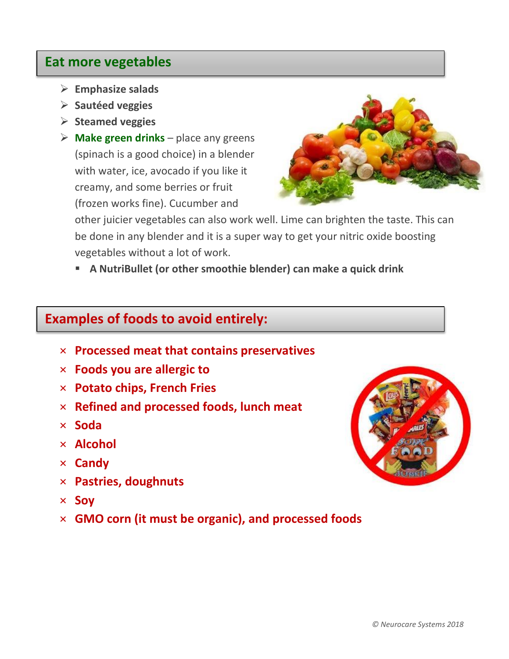### **Eat more vegetables**

- **Emphasize salads**
- **Sautéed veggies**
- **Steamed veggies**
- $\triangleright$  **Make green drinks** place any greens (spinach is a good choice) in a blender with water, ice, avocado if you like it creamy, and some berries or fruit (frozen works fine). Cucumber and



other juicier vegetables can also work well. Lime can brighten the taste. This can be done in any blender and it is a super way to get your nitric oxide boosting vegetables without a lot of work.

**A NutriBullet (or other smoothie blender) can make a quick drink**

### **Examples of foods to avoid entirely:**

- × **Processed meat that contains preservatives**
- × **Foods you are allergic to**
- × **Potato chips, French Fries**
- × **Refined and processed foods, lunch meat**
- × **Soda**
- × **Alcohol**
- × **Candy**
- × **Pastries, doughnuts**
- × **Soy**
- × **GMO corn (it must be organic), and processed foods**

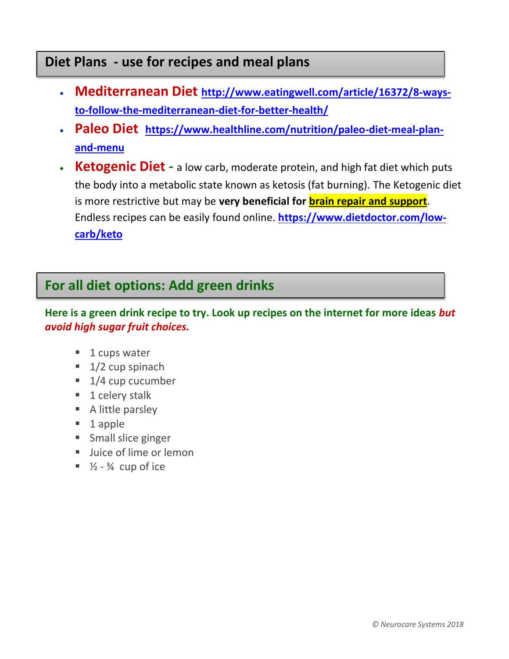# **Diet Plans - use for recipes and meal plans**

- **Mediterranean Diet [http://www.eatingwell.com/article/16372/8-ways](http://www.eatingwell.com/article/16372/8-ways-to-follow-the-mediterranean-diet-for-better-health/)[to-follow-the-mediterranean-diet-for-better-health/](http://www.eatingwell.com/article/16372/8-ways-to-follow-the-mediterranean-diet-for-better-health/)**
- **Paleo Diet [https://www.healthline.com/nutrition/paleo-diet-meal-plan](https://www.healthline.com/nutrition/paleo-diet-meal-plan-and-menu)[and-menu](https://www.healthline.com/nutrition/paleo-diet-meal-plan-and-menu)**
- **Ketogenic Diet -** a low carb, moderate protein, and high fat diet which puts the body into a metabolic state known as ketosis (fat burning). The Ketogenic diet is more restrictive but may be **very beneficial for brain repair and support**. Endless recipes can be easily found online. **[https://www.dietdoctor.com/low](https://www.dietdoctor.com/low-carb/keto)[carb/keto](https://www.dietdoctor.com/low-carb/keto)**

# **For all diet options: Add green drinks**

**Here is a green drink recipe to try. Look up recipes on the internet for more ideas** *but avoid high sugar fruit choices.*

- 1 cups water
- $\blacksquare$  1/2 cup spinach
- $\blacksquare$  1/4 cup cucumber
- $\blacksquare$  1 celery stalk
- A little parsley
- 1 apple
- **Small slice ginger**
- Ullice of lime or lemon
- $\sqrt{2} \frac{3}{4}$  cup of ice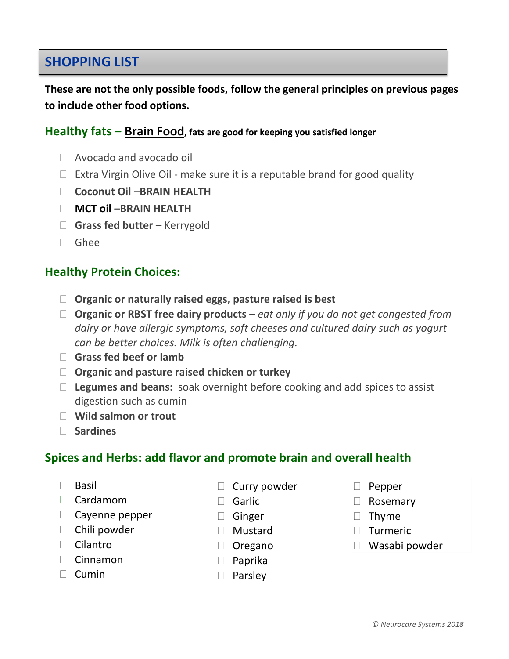# **SHOPPING LIST**

**These are not the only possible foods, follow the general principles on previous pages to include other food options.**

#### **Healthy fats – Brain Food, fats are good for keeping you satisfied longer**

- Avocado and avocado oil
- $\Box$  Extra Virgin Olive Oil make sure it is a reputable brand for good quality
- **Coconut Oil –BRAIN HEALTH**
- **MCT oil** –**BRAIN HEALTH**
- **Grass fed butter** Kerrygold
- Ghee

#### **Healthy Protein Choices:**

- **Organic or naturally raised eggs, pasture raised is best**
- **Organic or RBST free dairy products –** *eat only if you do not get congested from dairy or have allergic symptoms, soft cheeses and cultured dairy such as yogurt can be better choices. Milk is often challenging.*
- **Grass fed beef or lamb**
- **Organic and pasture raised chicken or turkey**
- **Legumes and beans:** soak overnight before cooking and add spices to assist digestion such as cumin
- **Wild salmon or trout**
- **Sardines**

#### **Spices and Herbs: add flavor and promote brain and overall health**

- $\Box$  Basil
- $\Box$  Cardamom
- $\Box$  Cayenne pepper
- $\Box$  Chili powder
- $\Box$  Cilantro
- $\Box$  Cinnamon
- $\Box$  Cumin
- $\Box$  Curry powder
- □ Garlic
- □ Ginger
- Mustard
- Oregano
- □ Paprika
- $\Box$  Parsley
- D Pepper
- □ Rosemary
- $\Box$  Thyme
- **Turmeric**
- Wasabi powder